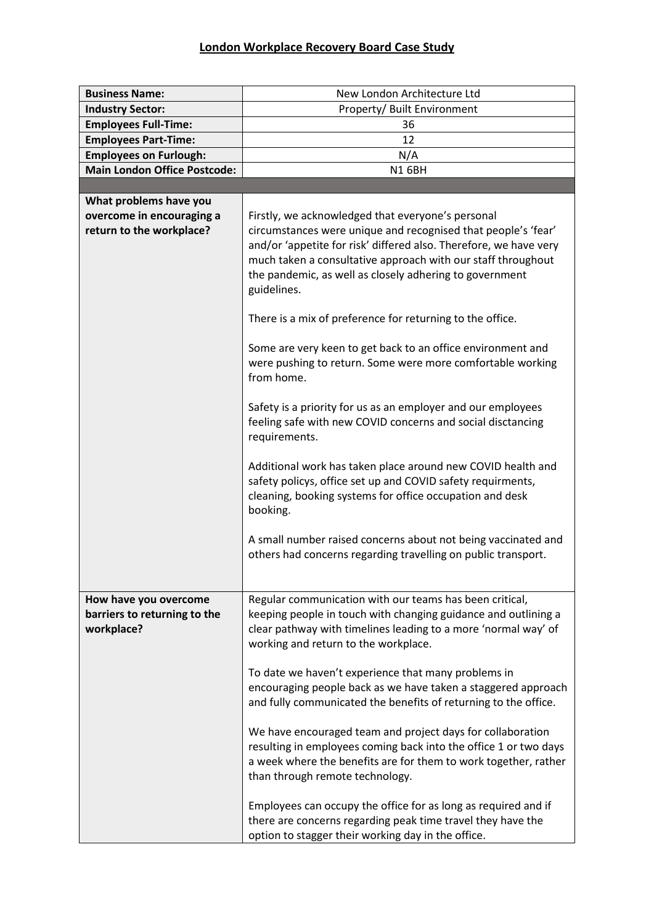## **London Workplace Recovery Board Case Study**

| <b>Business Name:</b>                                               | New London Architecture Ltd                                                                                                                                                                                                                                                                                                       |
|---------------------------------------------------------------------|-----------------------------------------------------------------------------------------------------------------------------------------------------------------------------------------------------------------------------------------------------------------------------------------------------------------------------------|
| <b>Industry Sector:</b>                                             | Property/ Built Environment                                                                                                                                                                                                                                                                                                       |
| <b>Employees Full-Time:</b>                                         | 36                                                                                                                                                                                                                                                                                                                                |
| <b>Employees Part-Time:</b>                                         | 12                                                                                                                                                                                                                                                                                                                                |
| <b>Employees on Furlough:</b>                                       | N/A                                                                                                                                                                                                                                                                                                                               |
| <b>Main London Office Postcode:</b>                                 | <b>N16BH</b>                                                                                                                                                                                                                                                                                                                      |
|                                                                     |                                                                                                                                                                                                                                                                                                                                   |
| What problems have you                                              |                                                                                                                                                                                                                                                                                                                                   |
| overcome in encouraging a<br>return to the workplace?               | Firstly, we acknowledged that everyone's personal<br>circumstances were unique and recognised that people's 'fear'<br>and/or 'appetite for risk' differed also. Therefore, we have very<br>much taken a consultative approach with our staff throughout<br>the pandemic, as well as closely adhering to government<br>guidelines. |
|                                                                     | There is a mix of preference for returning to the office.                                                                                                                                                                                                                                                                         |
|                                                                     | Some are very keen to get back to an office environment and<br>were pushing to return. Some were more comfortable working<br>from home.                                                                                                                                                                                           |
|                                                                     | Safety is a priority for us as an employer and our employees<br>feeling safe with new COVID concerns and social disctancing<br>requirements.                                                                                                                                                                                      |
|                                                                     | Additional work has taken place around new COVID health and<br>safety policys, office set up and COVID safety requirments,<br>cleaning, booking systems for office occupation and desk<br>booking.                                                                                                                                |
|                                                                     | A small number raised concerns about not being vaccinated and<br>others had concerns regarding travelling on public transport.                                                                                                                                                                                                    |
| How have you overcome<br>barriers to returning to the<br>workplace? | Regular communication with our teams has been critical,<br>keeping people in touch with changing guidance and outlining a<br>clear pathway with timelines leading to a more 'normal way' of<br>working and return to the workplace.                                                                                               |
|                                                                     | To date we haven't experience that many problems in<br>encouraging people back as we have taken a staggered approach<br>and fully communicated the benefits of returning to the office.                                                                                                                                           |
|                                                                     | We have encouraged team and project days for collaboration<br>resulting in employees coming back into the office 1 or two days<br>a week where the benefits are for them to work together, rather<br>than through remote technology.                                                                                              |
|                                                                     | Employees can occupy the office for as long as required and if<br>there are concerns regarding peak time travel they have the<br>option to stagger their working day in the office.                                                                                                                                               |